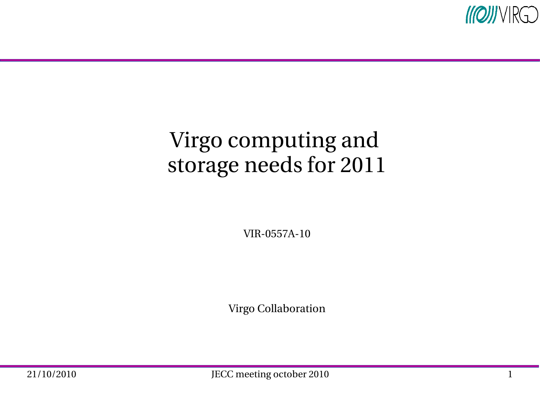

### Virgo computing and storage needs for 2011

VIR-0557A-10

Virgo Collaboration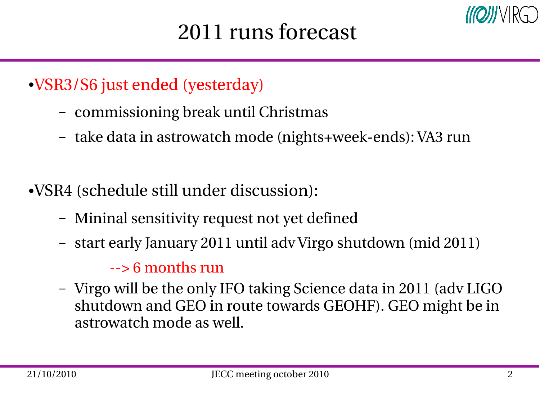- ●VSR3/S6 just ended (yesterday)
	- commissioning break until Christmas
	- take data in astrowatch mode (nights+week-ends): VA3 run
- ●VSR4 (schedule still under discussion):
	- Mininal sensitivity request not yet defined
	- start early January 2011 until adv Virgo shutdown (mid 2011)

### $\rightarrow$  6 months run

– Virgo will be the only IFO taking Science data in 2011 (adv LIGO shutdown and GEO in route towards GEOHF). GEO might be in astrowatch mode as well.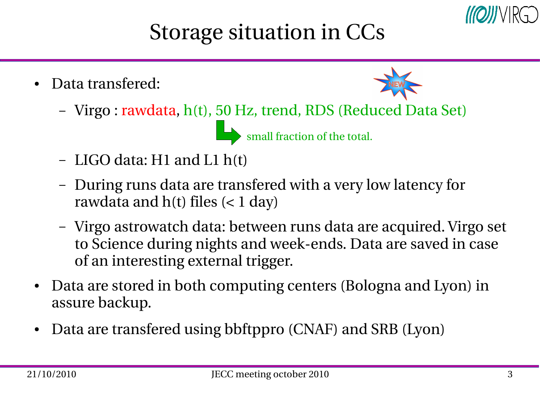

# Storage situation in CCs

Data transfered:



– Virgo : rawdata, h(t), 50 Hz, trend, RDS (Reduced Data Set)

small fraction of the total.

- LIGO data: H1 and L1 h(t)
- During runs data are transfered with a very low latency for rawdata and  $h(t)$  files  $(< 1 \text{ day})$
- Virgo astrowatch data: between runs data are acquired. Virgo set to Science during nights and week-ends. Data are saved in case of an interesting external trigger.
- Data are stored in both computing centers (Bologna and Lyon) in assure backup.
- Data are transfered using bbftppro (CNAF) and SRB (Lyon)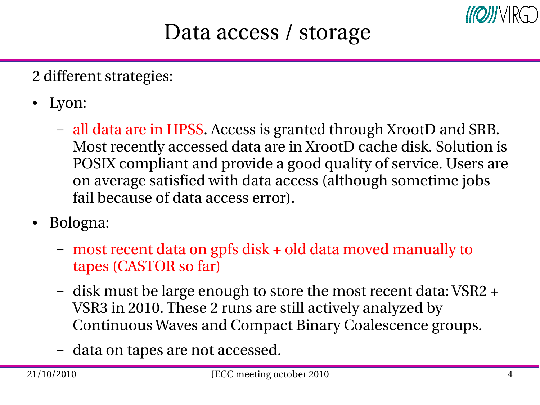

### Data access / storage

2 different strategies:

- Lyon:
	- all data are in HPSS. Access is granted through XrootD and SRB. Most recently accessed data are in XrootD cache disk. Solution is POSIX compliant and provide a good quality of service. Users are on average satisfied with data access (although sometime jobs fail because of data access error).
- Bologna:
	- most recent data on gpfs disk + old data moved manually to tapes (CASTOR so far)
	- disk must be large enough to store the most recent data: VSR2 + VSR3 in 2010. These 2 runs are still actively analyzed by Continuous Waves and Compact Binary Coalescence groups.
	- data on tapes are not accessed.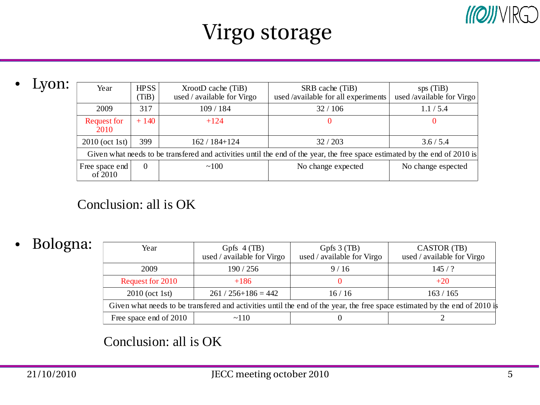### $M[Q]]/VR[Q]$

## Virgo storage

• Lyon:

| Year                                                                                                                       | <b>HPSS</b><br>(TiB) | XrootD cache (TiB)<br>used / available for Virgo | SRB cache (TiB)<br>used /available for all experiments | sps(TiB)<br>used /available for Virgo |  |
|----------------------------------------------------------------------------------------------------------------------------|----------------------|--------------------------------------------------|--------------------------------------------------------|---------------------------------------|--|
| 2009                                                                                                                       | 317                  | 109 / 184                                        | 32/106                                                 | 1.1 / 5.4                             |  |
| <b>Request for</b><br>2010                                                                                                 | $+140$               | $+124$                                           |                                                        |                                       |  |
| 2010 (oct 1st)                                                                                                             | 399                  | 162 / 184+124                                    | 32/203                                                 | 3.6 / 5.4                             |  |
| Given what needs to be transfered and activities until the end of the year, the free space estimated by the end of 2010 is |                      |                                                  |                                                        |                                       |  |
| Free space end<br>of 2010                                                                                                  | 0                    | ~100                                             | No change expected                                     | No change espected                    |  |

#### Conclusion: all is OK

#### ● Bologna:

| Year                                                                                                                       | Gpfs $4$ (TB)<br>used / available for Virgo | Gpfs $3$ (TB)<br>used / available for Virgo | CASTOR (TB)<br>used / available for Virgo |  |  |
|----------------------------------------------------------------------------------------------------------------------------|---------------------------------------------|---------------------------------------------|-------------------------------------------|--|--|
| 2009                                                                                                                       | 190 / 256                                   | 9/16                                        | 145/?                                     |  |  |
| <b>Request for 2010</b>                                                                                                    | $+186$                                      |                                             | $+20$                                     |  |  |
| 2010 (oct 1st)                                                                                                             | $261 / 256 + 186 = 442$                     | 16/16                                       | 163/165                                   |  |  |
| Given what needs to be transfered and activities until the end of the year, the free space estimated by the end of 2010 is |                                             |                                             |                                           |  |  |
| Free space end of 2010                                                                                                     | ~110                                        |                                             |                                           |  |  |

#### Conclusion: all is OK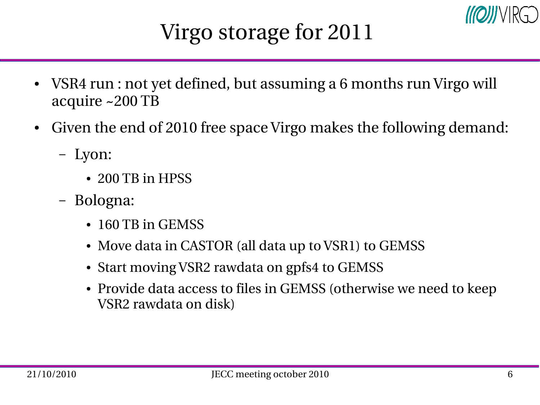

# Virgo storage for 2011

- VSR4 run : not yet defined, but assuming a 6 months run Virgo will acquire ~200 TB
- Given the end of 2010 free space Virgo makes the following demand:
	- Lyon:
		- 200 TB in HPSS
	- Bologna:
		- 160 TB in GEMSS
		- Move data in CASTOR (all data up to VSR1) to GEMSS
		- Start moving VSR2 rawdata on gpfs4 to GEMSS
		- Provide data access to files in GEMSS (otherwise we need to keep VSR2 rawdata on disk)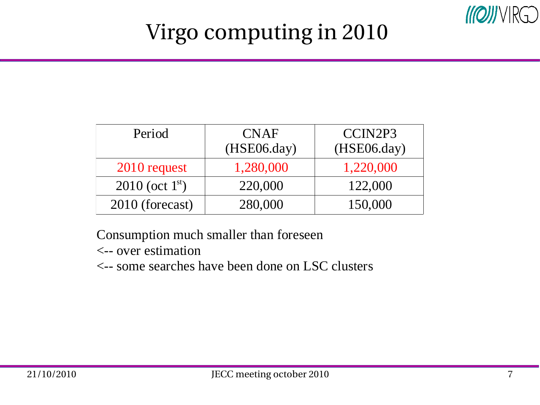

# Virgo computing in 2010

| Period            | <b>CNAF</b><br>(HSE06/day) | CCIN2P3<br>(HSE06/day) |
|-------------------|----------------------------|------------------------|
| 2010 request      | 1,280,000                  | 1,220,000              |
| 2010 (oct $1st$ ) | 220,000                    | 122,000                |
| 2010 (forecast)   | 280,000                    | 150,000                |

Consumption much smaller than foreseen

<-- over estimation

<-- some searches have been done on LSC clusters